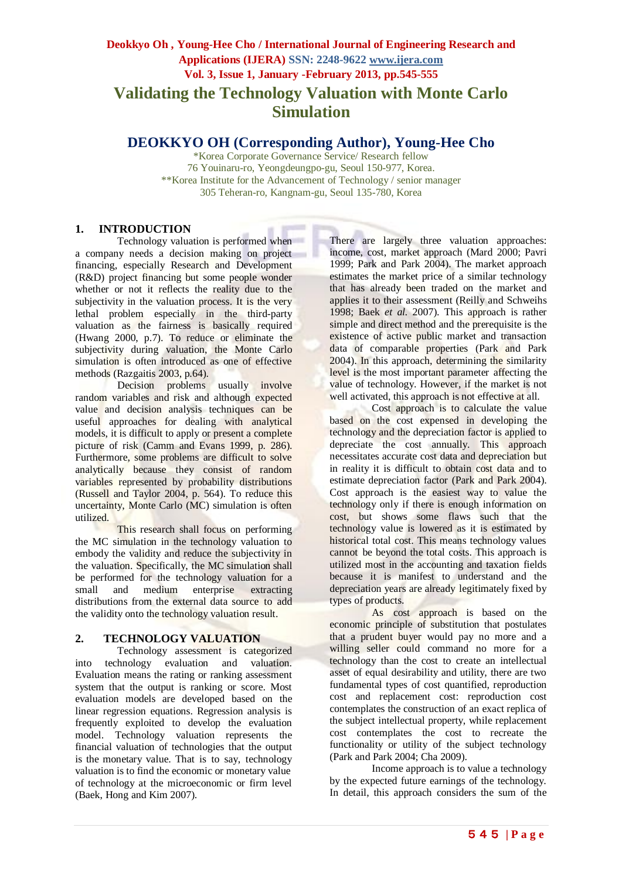# **Deokkyo Oh , Young-Hee Cho / International Journal of Engineering Research and Applications (IJERA) SSN: 2248-9622 www.ijera.com Vol. 3, Issue 1, January -February 2013, pp.545-555 Validating the Technology Valuation with Monte Carlo Simulation**

# **DEOKKYO OH (Corresponding Author), Young-Hee Cho**

\*Korea Corporate Governance Service/ Research fellow 76 Youinaru-ro, Yeongdeungpo-gu, Seoul 150-977, Korea. \*\*Korea Institute for the Advancement of Technology / senior manager 305 Teheran-ro, Kangnam-gu, Seoul 135-780, Korea

## **1. INTRODUCTION**

Technology valuation is performed when a company needs a decision making on project financing, especially Research and Development (R&D) project financing but some people wonder whether or not it reflects the reality due to the subjectivity in the valuation process. It is the very lethal problem especially in the third-party valuation as the fairness is basically required (Hwang 2000, p.7). To reduce or eliminate the subjectivity during valuation, the Monte Carlo simulation is often introduced as one of effective methods (Razgaitis 2003, p.64).

Decision problems usually involve random variables and risk and although expected value and decision analysis techniques can be useful approaches for dealing with analytical models, it is difficult to apply or present a complete picture of risk (Camm and Evans 1999, p. 286). Furthermore, some problems are difficult to solve analytically because they consist of random variables represented by probability distributions (Russell and Taylor 2004, p. 564). To reduce this uncertainty, Monte Carlo (MC) simulation is often utilized.

This research shall focus on performing the MC simulation in the technology valuation to embody the validity and reduce the subjectivity in the valuation. Specifically, the MC simulation shall be performed for the technology valuation for a small and medium enterprise extracting distributions from the external data source to add the validity onto the technology valuation result.

## **2. TECHNOLOGY VALUATION**

Technology assessment is categorized into technology evaluation and valuation. Evaluation means the rating or ranking assessment system that the output is ranking or score. Most evaluation models are developed based on the linear regression equations. Regression analysis is frequently exploited to develop the evaluation model. Technology valuation represents the financial valuation of technologies that the output is the monetary value. That is to say, technology valuation is to find the economic or monetary value of technology at the microeconomic or firm level (Baek, Hong and Kim 2007).

There are largely three valuation approaches: income, cost, market approach (Mard 2000; Pavri 1999; Park and Park 2004). The market approach estimates the market price of a similar technology that has already been traded on the market and applies it to their assessment (Reilly and Schweihs 1998; Baek *et al.* 2007). This approach is rather simple and direct method and the prerequisite is the existence of active public market and transaction data of comparable properties (Park and Park 2004). In this approach, determining the similarity level is the most important parameter affecting the value of technology. However, if the market is not well activated, this approach is not effective at all.

Cost approach is to calculate the value based on the cost expensed in developing the technology and the depreciation factor is applied to depreciate the cost annually. This approach necessitates accurate cost data and depreciation but in reality it is difficult to obtain cost data and to estimate depreciation factor (Park and Park 2004). Cost approach is the easiest way to value the technology only if there is enough information on cost, but shows some flaws such that the technology value is lowered as it is estimated by historical total cost. This means technology values cannot be beyond the total costs. This approach is utilized most in the accounting and taxation fields because it is manifest to understand and the depreciation years are already legitimately fixed by types of products.

As cost approach is based on the economic principle of substitution that postulates that a prudent buyer would pay no more and a willing seller could command no more for a technology than the cost to create an intellectual asset of equal desirability and utility, there are two fundamental types of cost quantified, reproduction cost and replacement cost: reproduction cost contemplates the construction of an exact replica of the subject intellectual property, while replacement cost contemplates the cost to recreate the functionality or utility of the subject technology (Park and Park 2004; Cha 2009).

Income approach is to value a technology by the expected future earnings of the technology. In detail, this approach considers the sum of the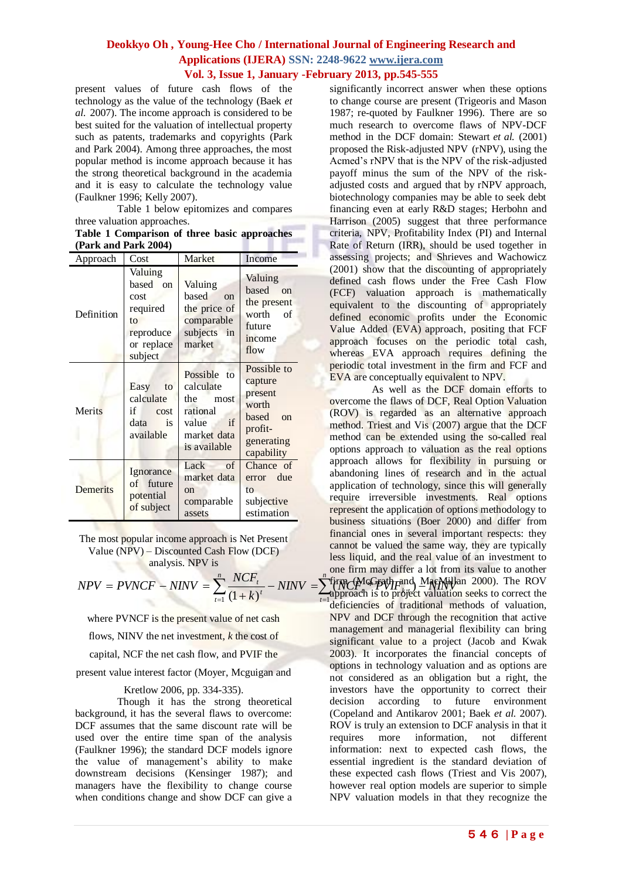*t*

present values of future cash flows of the technology as the value of the technology (Baek *et al.* 2007). The income approach is considered to be best suited for the valuation of intellectual property such as patents, trademarks and copyrights (Park and Park 2004). Among three approaches, the most popular method is income approach because it has the strong theoretical background in the academia and it is easy to calculate the technology value (Faulkner 1996; Kelly 2007).

Table 1 below epitomizes and compares three valuation approaches.

| Table 1 Comparison of three basic approaches |  |  |  |
|----------------------------------------------|--|--|--|
| (Park and Park 2004)                         |  |  |  |

| Approach        | Cost                                                                                | Market                                                                                         | Income                                                                                                 |
|-----------------|-------------------------------------------------------------------------------------|------------------------------------------------------------------------------------------------|--------------------------------------------------------------------------------------------------------|
| Definition      | Valuing<br>based on<br>cost<br>required<br>to<br>reproduce<br>or replace<br>subject | Valuing<br>based<br>on<br>the price of<br>comparable<br>subjects in<br>market                  | Valuing<br>based<br>$\alpha$<br>the present<br>worth<br>$\sigma$ f<br>future<br>income<br>flow         |
| Merits          | Easy<br>to<br>calculate<br>if<br>cost<br>data<br>is<br>available                    | Possible to<br>calculate<br>the most<br>rational<br>if<br>value<br>market data<br>is available | Possible to<br>capture<br>present<br>worth<br>based<br>$\alpha$<br>profit-<br>generating<br>capability |
| <b>Demerits</b> | Ignorance<br>of future<br>potential<br>of subject                                   | Lack<br>of<br>market data<br>$_{\rm on}$<br>comparable<br>assets                               | Chance of<br>error due<br>to<br>subjective<br>estimation                                               |

The most popular income approach is Net Present Value (NPV) – Discounted Cash Flow (DCF) **analysis. NPV is** 

$$
NPV = PVNCF - NINV = \sum_{t=1}^{n} \frac{NCF_{t}}{(1+k)^{t}} - NINV = \sum_{t=1}^{n}
$$

where PVNCF is the present value of net cash

flows, NINV the net investment, *k* the cost of

capital, NCF the net cash flow, and PVIF the

present value interest factor (Moyer, Mcguigan and

### Kretlow 2006, pp. 334-335).

Though it has the strong theoretical background, it has the several flaws to overcome: DCF assumes that the same discount rate will be used over the entire time span of the analysis (Faulkner 1996); the standard DCF models ignore the value of management's ability to make downstream decisions (Kensinger 1987); and managers have the flexibility to change course when conditions change and show DCF can give a

significantly incorrect answer when these options to change course are present (Trigeoris and Mason 1987; re-quoted by Faulkner 1996). There are so much research to overcome flaws of NPV-DCF method in the DCF domain: Stewart *et al.* (2001) proposed the Risk-adjusted NPV (rNPV), using the Acmed's rNPV that is the NPV of the risk-adjusted payoff minus the sum of the NPV of the riskadjusted costs and argued that by rNPV approach, biotechnology companies may be able to seek debt financing even at early R&D stages; Herbohn and Harrison (2005) suggest that three performance criteria, NPV, Profitability Index (PI) and Internal Rate of Return (IRR), should be used together in assessing projects; and Shrieves and Wachowicz (2001) show that the discounting of appropriately defined cash flows under the Free Cash Flow (FCF) valuation approach is mathematically equivalent to the discounting of appropriately defined economic profits under the Economic Value Added (EVA) approach, positing that FCF approach focuses on the periodic total cash, whereas EVA approach requires defining the periodic total investment in the firm and FCF and EVA are conceptually equivalent to NPV.

 $-NINV = \sum_{n=1}^{n} (NCP_{n}^{G}\mathbf{F}\mathbf{W}^{H}F_{k,t}^{end})$  $\frac{t}{\lambda t}$  - *NINV*  $=$   $\sum_{i=1}^{n}$  *N<sub>I</sub>*<sup>*n*</sup> *N<sub>I</sub>*<sup>*n*</sup><sub>*C*</sub><sup>*P*</sup><sub>*M*<sup>*NI*</sup><sub>*R*</sub><sup>*n*</sup><sub>*I*</sub><sup>*n*</sup><sub>*NI*</sub><sup>*I*</sup><sub>*NI*</sub></sub> 1 firm (McGrath and MacMillan 2000). The ROV<br>ennroach is to project valuation seeks to correct the As well as the DCF domain efforts to overcome the flaws of DCF, Real Option Valuation (ROV) is regarded as an alternative approach method. Triest and Vis (2007) argue that the DCF method can be extended using the so-called real options approach to valuation as the real options approach allows for flexibility in pursuing or abandoning lines of research and in the actual application of technology, since this will generally require irreversible investments. Real options represent the application of options methodology to business situations (Boer 2000) and differ from financial ones in several important respects: they cannot be valued the same way, they are typically less liquid, and the real value of an investment to one firm may differ a lot from its value to another approach is to project valuation seeks to correct the deficiencies of traditional methods of valuation, NPV and DCF through the recognition that active management and managerial flexibility can bring significant value to a project (Jacob and Kwak 2003). It incorporates the financial concepts of options in technology valuation and as options are not considered as an obligation but a right, the investors have the opportunity to correct their decision according to future environment (Copeland and Antikarov 2001; Baek *et al.* 2007). ROV is truly an extension to DCF analysis in that it requires more information, not different information: next to expected cash flows, the essential ingredient is the standard deviation of these expected cash flows (Triest and Vis 2007), however real option models are superior to simple NPV valuation models in that they recognize the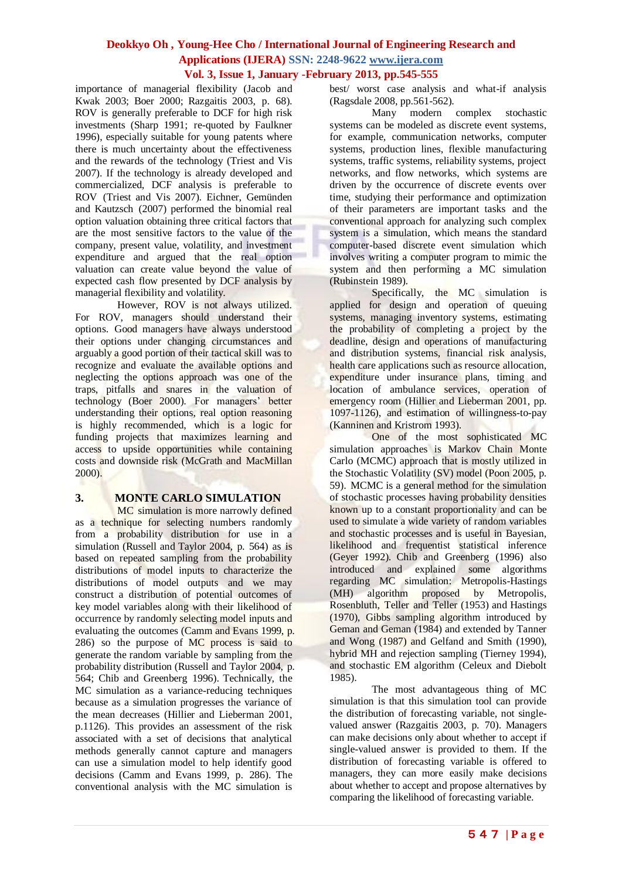importance of managerial flexibility (Jacob and Kwak 2003; Boer 2000; Razgaitis 2003, p. 68). ROV is generally preferable to DCF for high risk investments (Sharp 1991; re-quoted by Faulkner 1996), especially suitable for young patents where there is much uncertainty about the effectiveness and the rewards of the technology (Triest and Vis 2007). If the technology is already developed and commercialized, DCF analysis is preferable to ROV (Triest and Vis 2007). Eichner, Gemünden and Kautzsch (2007) performed the binomial real option valuation obtaining three critical factors that are the most sensitive factors to the value of the company, present value, volatility, and investment expenditure and argued that the real option valuation can create value beyond the value of expected cash flow presented by DCF analysis by managerial flexibility and volatility.

However, ROV is not always utilized. For ROV, managers should understand their options. Good managers have always understood their options under changing circumstances and arguably a good portion of their tactical skill was to recognize and evaluate the available options and neglecting the options approach was one of the traps, pitfalls and snares in the valuation of technology (Boer 2000). For managers' better understanding their options, real option reasoning is highly recommended, which is a logic for funding projects that maximizes learning and access to upside opportunities while containing costs and downside risk (McGrath and MacMillan 2000).

## **3. MONTE CARLO SIMULATION**

MC simulation is more narrowly defined as a technique for selecting numbers randomly from a probability distribution for use in a simulation (Russell and Taylor 2004, p. 564) as is based on repeated sampling from the probability distributions of model inputs to characterize the distributions of model outputs and we may construct a distribution of potential outcomes of key model variables along with their likelihood of occurrence by randomly selecting model inputs and evaluating the outcomes (Camm and Evans 1999, p. 286) so the purpose of MC process is said to generate the random variable by sampling from the probability distribution (Russell and Taylor 2004, p. 564; Chib and Greenberg 1996). Technically, the MC simulation as a variance-reducing techniques because as a simulation progresses the variance of the mean decreases (Hillier and Lieberman 2001, p.1126). This provides an assessment of the risk associated with a set of decisions that analytical methods generally cannot capture and managers can use a simulation model to help identify good decisions (Camm and Evans 1999, p. 286). The conventional analysis with the MC simulation is

best/ worst case analysis and what-if analysis (Ragsdale 2008, pp.561-562).

Many modern complex stochastic systems can be modeled as discrete event systems, for example, communication networks, computer systems, production lines, flexible manufacturing systems, traffic systems, reliability systems, project networks, and flow networks, which systems are driven by the occurrence of discrete events over time, studying their performance and optimization of their parameters are important tasks and the conventional approach for analyzing such complex system is a simulation, which means the standard computer-based discrete event simulation which involves writing a computer program to mimic the system and then performing a MC simulation (Rubinstein 1989).

Specifically, the MC simulation is applied for design and operation of queuing systems, managing inventory systems, estimating the probability of completing a project by the deadline, design and operations of manufacturing and distribution systems, financial risk analysis, health care applications such as resource allocation, expenditure under insurance plans, timing and location of ambulance services, operation of emergency room (Hillier and Lieberman 2001, pp. 1097-1126), and estimation of willingness-to-pay (Kanninen and Kristrom 1993).

One of the most sophisticated MC simulation approaches is Markov Chain Monte Carlo (MCMC) approach that is mostly utilized in the Stochastic Volatility (SV) model (Poon 2005, p. 59). MCMC is a general method for the simulation of stochastic processes having probability densities known up to a constant proportionality and can be used to simulate a wide variety of random variables and stochastic processes and is useful in Bayesian, likelihood and frequentist statistical inference (Geyer 1992). Chib and Greenberg (1996) also introduced and explained some algorithms regarding MC simulation: Metropolis-Hastings (MH) algorithm proposed by Metropolis, Rosenbluth, Teller and Teller (1953) and Hastings (1970), Gibbs sampling algorithm introduced by Geman and Geman (1984) and extended by Tanner and Wong (1987) and Gelfand and Smith (1990), hybrid MH and rejection sampling (Tierney 1994), and stochastic EM algorithm (Celeux and Diebolt 1985).

The most advantageous thing of MC simulation is that this simulation tool can provide the distribution of forecasting variable, not singlevalued answer (Razgaitis 2003, p. 70). Managers can make decisions only about whether to accept if single-valued answer is provided to them. If the distribution of forecasting variable is offered to managers, they can more easily make decisions about whether to accept and propose alternatives by comparing the likelihood of forecasting variable.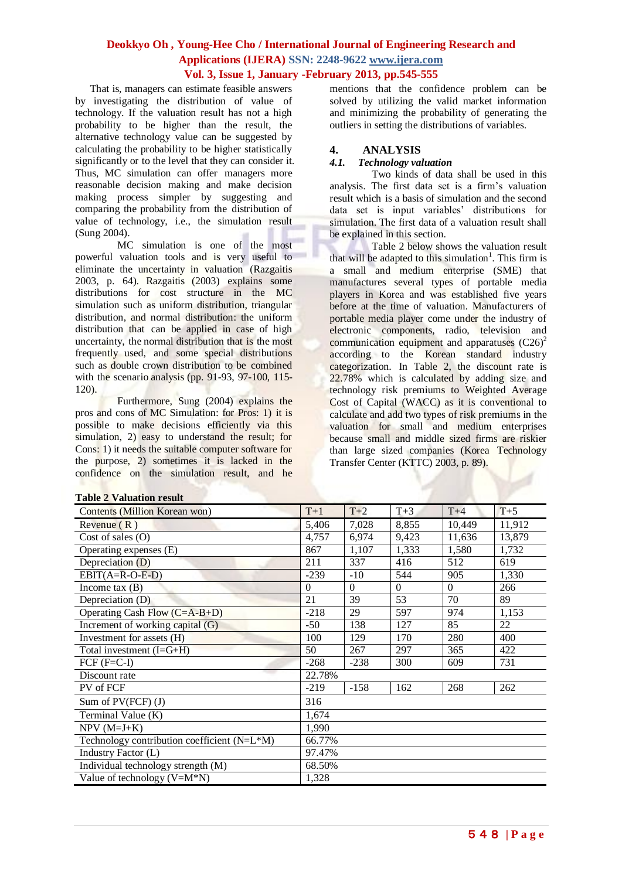That is, managers can estimate feasible answers by investigating the distribution of value of technology. If the valuation result has not a high probability to be higher than the result, the alternative technology value can be suggested by calculating the probability to be higher statistically significantly or to the level that they can consider it. Thus, MC simulation can offer managers more reasonable decision making and make decision making process simpler by suggesting and comparing the probability from the distribution of value of technology, i.e., the simulation result (Sung 2004).

MC simulation is one of the most powerful valuation tools and is very useful to eliminate the uncertainty in valuation (Razgaitis 2003, p. 64). Razgaitis (2003) explains some distributions for cost structure in the MC simulation such as uniform distribution, triangular distribution, and normal distribution: the uniform distribution that can be applied in case of high uncertainty, the normal distribution that is the most frequently used, and some special distributions such as double crown distribution to be combined with the scenario analysis (pp. 91-93, 97-100, 115- 120).

Furthermore, Sung (2004) explains the pros and cons of MC Simulation: for Pros: 1) it is possible to make decisions efficiently via this simulation, 2) easy to understand the result; for Cons: 1) it needs the suitable computer software for the purpose, 2) sometimes it is lacked in the confidence on the simulation result, and he

mentions that the confidence problem can be solved by utilizing the valid market information and minimizing the probability of generating the outliers in setting the distributions of variables.

### **4. ANALYSIS**

### *4.1. Technology valuation*

Two kinds of data shall be used in this analysis. The first data set is a firm's valuation result which is a basis of simulation and the second data set is input variables' distributions for simulation. The first data of a valuation result shall be explained in this section.

Table 2 below shows the valuation result that will be adapted to this simulation<sup>1</sup>. This firm is a small and medium enterprise (SME) that manufactures several types of portable media players in Korea and was established five years before at the time of valuation. Manufacturers of portable media player come under the industry of electronic components, radio, television and communication equipment and apparatuses  $(C26)^2$ according to the Korean standard industry categorization. In Table 2, the discount rate is 22.78% which is calculated by adding size and technology risk premiums to Weighted Average Cost of Capital (WACC) as it is conventional to calculate and add two types of risk premiums in the valuation for small and medium enterprises because small and middle sized firms are riskier than large sized companies (Korea Technology Transfer Center (KTTC) 2003, p. 89).

| Table 2 valuation result                    |          |          |          |          |        |
|---------------------------------------------|----------|----------|----------|----------|--------|
| <b>Contents (Million Korean won)</b>        | $T+1$    | $T+2$    | $T+3$    | $T+4$    | $T+5$  |
| Revenue $(R)$                               | 5,406    | 7,028    | 8,855    | 10,449   | 11,912 |
| Cost of sales $(O)$                         | 4,757    | 6,974    | 9,423    | 11,636   | 13,879 |
| Operating expenses (E)                      | 867      | 1,107    | 1,333    | 1,580    | 1,732  |
| Depreciation $(D)$                          | 211      | 337      | 416      | 512      | 619    |
| $EBIT(A=R-O-E-D)$                           | $-239$   | $-10$    | 544      | 905      | 1,330  |
| Income tax $(B)$                            | $\Omega$ | $\Omega$ | $\Omega$ | $\theta$ | 266    |
| Depreciation (D)                            | 21       | 39       | 53       | 70       | 89     |
| Operating Cash Flow (C=A-B+D)               | $-218$   | 29       | 597      | 974      | 1,153  |
| Increment of working capital (G)            | $-50$    | 138      | 127      | 85       | 22     |
| Investment for assets (H)                   | 100      | 129      | 170      | 280      | 400    |
| Total investment $(I=G+H)$                  | 50       | 267      | 297      | 365      | 422    |
| $FCF$ ( $F=C-I$ )                           | $-268$   | $-238$   | 300      | 609      | 731    |
| Discount rate                               | 22.78%   |          |          |          |        |
| PV of FCF                                   | $-219$   | $-158$   | 162      | 268      | 262    |
| Sum of $PV(FCF)(J)$                         | 316      |          |          |          |        |
| Terminal Value (K)                          | 1,674    |          |          |          |        |
| $NPV$ (M=J+K)                               | 1,990    |          |          |          |        |
| Technology contribution coefficient (N=L*M) | 66.77%   |          |          |          |        |
| Industry Factor (L)                         | 97.47%   |          |          |          |        |
| Individual technology strength (M)          | 68.50%   |          |          |          |        |
| Value of technology $(V=M*N)$               | 1,328    |          |          |          |        |

### **Table 2 Valuation result**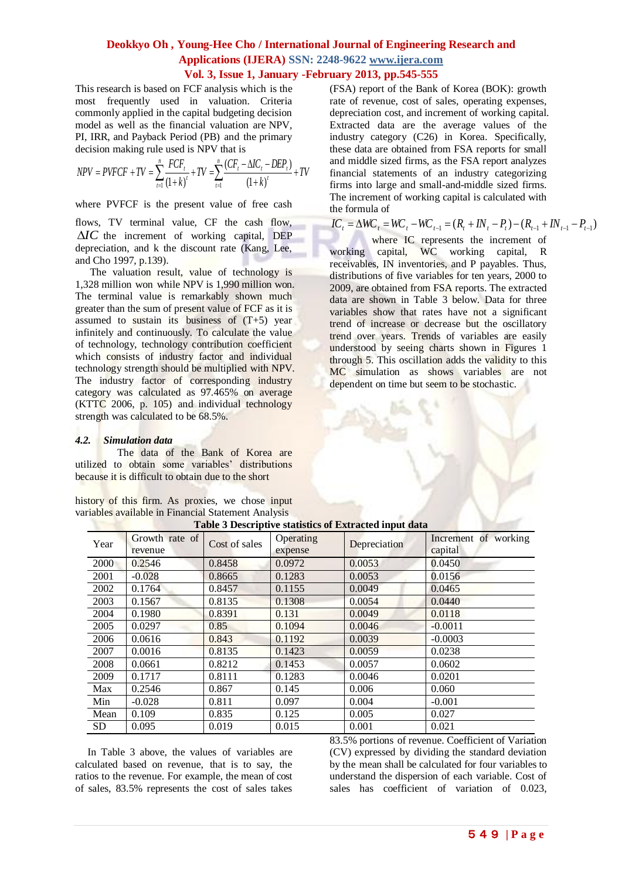This research is based on FCF analysis which is the most frequently used in valuation. Criteria commonly applied in the capital budgeting decision model as well as the financial valuation are NPV, PI, IRR, and Payback Period (PB) and the primary decision making rule used is NPV that is

$$
NPV = PVFCF + TV = \sum_{t=1}^{n} \frac{FCF_t}{(1+k)^{t}} + TV = \sum_{t=1}^{n} \frac{(CF_t - \Delta IC_t - DEP_t)}{(1+k)^{t}} + TV
$$

where PVFCF is the present value of free cash

flows, TV terminal value, CF the cash flow, *IC* the increment of working capital, DEP depreciation, and k the discount rate (Kang, Lee, and Cho 1997, p.139).

The valuation result, value of technology is 1,328 million won while NPV is 1,990 million won. The terminal value is remarkably shown much greater than the sum of present value of FCF as it is assumed to sustain its business of  $(T+5)$  year infinitely and continuously. To calculate the value of technology, technology contribution coefficient which consists of industry factor and individual technology strength should be multiplied with NPV. The industry factor of corresponding industry category was calculated as 97.465% on average (KTTC 2006, p. 105) and individual technology strength was calculated to be 68.5%.

### *4.2. Simulation data*

The data of the Bank of Korea are utilized to obtain some variables' distributions because it is difficult to obtain due to the short

history of this firm. As proxies, we chose input variables available in Financial Statement Analysis

(FSA) report of the Bank of Korea (BOK): growth rate of revenue, cost of sales, operating expenses, depreciation cost, and increment of working capital. Extracted data are the average values of the industry category (C26) in Korea. Specifically, these data are obtained from FSA reports for small and middle sized firms, as the FSA report analyzes financial statements of an industry categorizing firms into large and small-and-middle sized firms. The increment of working capital is calculated with the formula of

# $IC_t = \Delta WC_t = WC_t - WC_{t-1} = (R_t + IN_t - P_t) - (R_{t-1} + IN_{t-1} - P_{t-1})$

where IC represents the increment of working capital, WC working capital, R receivables, IN inventories, and P payables. Thus, distributions of five variables for ten years, 2000 to 2009, are obtained from FSA reports. The extracted data are shown in Table 3 below. Data for three variables show that rates have not a significant trend of increase or decrease but the oscillatory trend over years. Trends of variables are easily understood by seeing charts shown in Figures 1 through 5. This oscillation adds the validity to this MC simulation as shows variables are not dependent on time but seem to be stochastic.

| Table 5 Descriptive statistics of Extracted lift data |                           |               |                      |              |                                 |
|-------------------------------------------------------|---------------------------|---------------|----------------------|--------------|---------------------------------|
| Year                                                  | Growth rate of<br>revenue | Cost of sales | Operating<br>expense | Depreciation | Increment of working<br>capital |
| 2000                                                  | 0.2546                    | 0.8458        | 0.0972               | 0.0053       | 0.0450                          |
| 2001                                                  | $-0.028$                  | 0.8665        | 0.1283               | 0.0053       | 0.0156                          |
| 2002                                                  | 0.1764                    | 0.8457        | 0.1155               | 0.0049       | 0.0465                          |
| 2003                                                  | 0.1567                    | 0.8135        | 0.1308               | 0.0054       | 0.0440                          |
| 2004                                                  | 0.1980                    | 0.8391        | 0.131                | 0.0049       | 0.0118                          |
| 2005                                                  | 0.0297                    | 0.85          | 0.1094               | 0.0046       | $-0.0011$                       |
| 2006                                                  | 0.0616                    | 0.843         | 0.1192               | 0.0039       | $-0.0003$                       |
| 2007                                                  | 0.0016                    | 0.8135        | 0.1423               | 0.0059       | 0.0238                          |
| 2008                                                  | 0.0661                    | 0.8212        | 0.1453               | 0.0057       | 0.0602                          |
| 2009                                                  | 0.1717                    | 0.8111        | 0.1283               | 0.0046       | 0.0201                          |
| Max                                                   | 0.2546                    | 0.867         | 0.145                | 0.006        | 0.060                           |
| Min                                                   | $-0.028$                  | 0.811         | 0.097                | 0.004        | $-0.001$                        |
| Mean                                                  | 0.109                     | 0.835         | 0.125                | 0.005        | 0.027                           |
| <b>SD</b>                                             | 0.095                     | 0.019         | 0.015                | 0.001        | 0.021                           |

**Table 3 Descriptive statistics of Extracted input data**

In Table 3 above, the values of variables are calculated based on revenue, that is to say, the ratios to the revenue. For example, the mean of cost of sales, 83.5% represents the cost of sales takes

83.5% portions of revenue. Coefficient of Variation (CV) expressed by dividing the standard deviation by the mean shall be calculated for four variables to understand the dispersion of each variable. Cost of sales has coefficient of variation of 0.023,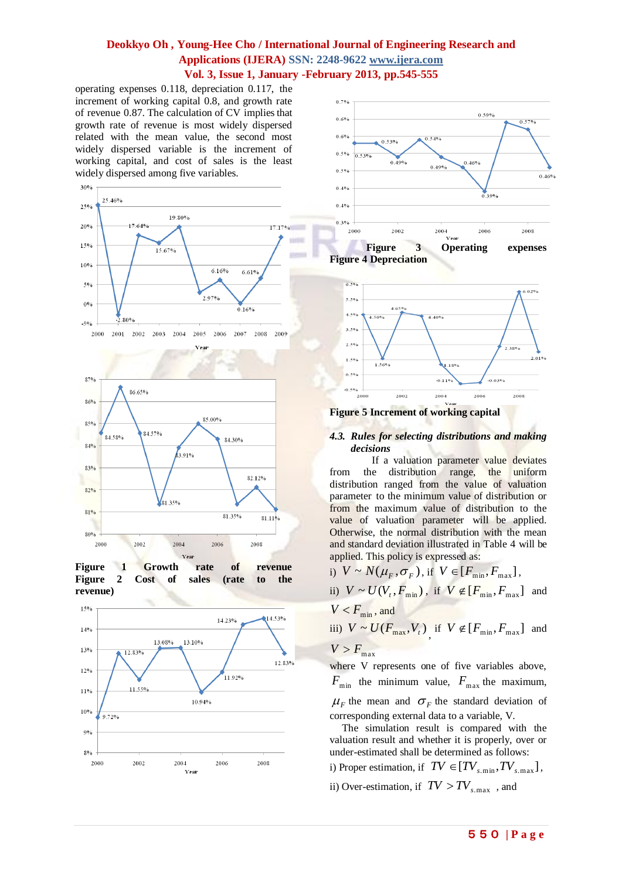operating expenses 0.118, depreciation 0.117, the increment of working capital 0.8, and growth rate of revenue 0.87. The calculation of CV implies that growth rate of revenue is most widely dispersed related with the mean value, the second most widely dispersed variable is the increment of working capital, and cost of sales is the least widely dispersed among five variables.











**Figure 4 Depreciation**



**Figure 5 Increment of working capital** 

### *4.3. Rules for selecting distributions and making decisions*

If a valuation parameter value deviates from the distribution range, the uniform distribution ranged from the value of valuation parameter to the minimum value of distribution or from the maximum value of distribution to the value of valuation parameter will be applied. Otherwise, the normal distribution with the mean and standard deviation illustrated in Table 4 will be applied. This policy is expressed as:

i) 
$$
V \sim N(\mu_F, \sigma_F)
$$
, if  $V \in [F_{\min}, F_{\max}]$ ,  
\nii)  $V \sim U(V_t, F_{\min})$ , if  $V \notin [F_{\min}, F_{\max}]$  and  
\n $V < F_{\min}$ , and  
\niii)  $V \sim U(F_{\max}, V_t)$ , if  $V \notin [F_{\min}, F_{\max}]$  and  
\n $V > F$ .

 $V > F_{\text{max}}$ where V represents one of five variables above,  $F_{\min}$  the minimum value,  $F_{\max}$  the maximum,  $\mu_F$  the mean and  $\sigma_F$  the standard deviation of corresponding external data to a variable, V.

The simulation result is compared with the valuation result and whether it is properly, over or under-estimated shall be determined as follows:

i) Proper estimation, if  $TV \in [TV_{s,\min}, TV_{s,\max}]$ ,

ii) Over-estimation, if  $TV > TV_{s, \text{max}}$ , and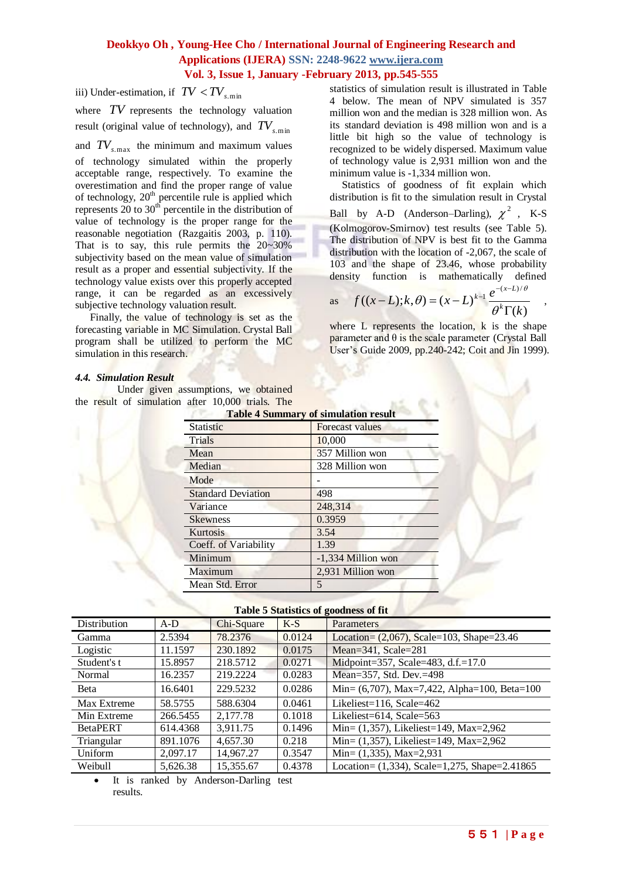iii) Under-estimation, if  $TV < TV$ <sub>s.min</sub>

where TV represents the technology valuation result (original value of technology), and *TVs*.min

and  $TV_{s,\text{max}}$  the minimum and maximum values

of technology simulated within the properly acceptable range, respectively. To examine the overestimation and find the proper range of value of technology,  $20<sup>th</sup>$  percentile rule is applied which represents  $20$  to  $30<sup>th</sup>$  percentile in the distribution of value of technology is the proper range for the reasonable negotiation (Razgaitis 2003, p. 110). That is to say, this rule permits the  $20 \sim 30\%$ subjectivity based on the mean value of simulation result as a proper and essential subjectivity. If the technology value exists over this properly accepted range, it can be regarded as an excessively subjective technology valuation result.

Finally, the value of technology is set as the forecasting variable in MC Simulation. Crystal Ball program shall be utilized to perform the MC simulation in this research.

#### *4.4. Simulation Result*

Under given assumptions, we obtained the result of simulation after 10,000 trials. The **Table 4 Summary of simulation result** statistics of simulation result is illustrated in Table 4 below. The mean of NPV simulated is 357 million won and the median is 328 million won. As its standard deviation is 498 million won and is a little bit high so the value of technology is recognized to be widely dispersed. Maximum value of technology value is 2,931 million won and the minimum value is -1,334 million won.

Statistics of goodness of fit explain which distribution is fit to the simulation result in Crystal Ball by A-D (Anderson–Darling),  $\chi^2$ , K-S (Kolmogorov-Smirnov) test results (see Table 5). The distribution of NPV is best fit to the Gamma distribution with the location of -2,067, the scale of 103 and the shape of 23.46, whose probability density function is mathematically defined  $-(x-L)/\theta$ 

as 
$$
f((x-L); k, \theta) = (x-L)^{k-1} \frac{e^{-(x-L)/\theta}}{\theta^k \Gamma(k)}
$$
,

where L represents the location, k is the shape parameter and  $\theta$  is the scale parameter (Crystal Ball User's Guide 2009, pp.240-242; Coit and Jin 1999).

| Table 4 Summary of Simulation result |                        |  |
|--------------------------------------|------------------------|--|
| <b>Statistic</b>                     | <b>Forecast values</b> |  |
| Trials                               | 10,000                 |  |
| Mean                                 | 357 Million won        |  |
| Median                               | 328 Million won        |  |
| Mode                                 |                        |  |
| <b>Standard Deviation</b>            | 498                    |  |
| Variance                             | 248.314                |  |
| <b>Skewness</b>                      | 0.3959                 |  |
| Kurtosis                             | 3.54                   |  |
| Coeff. of Variability                | 1.39                   |  |
| Minimum                              | -1,334 Million won     |  |
| Maximum                              | 2,931 Million won      |  |
| Mean Std. Error                      | 5                      |  |

| Table 5 Statistics of goodness of fit |  |  |
|---------------------------------------|--|--|
|---------------------------------------|--|--|

| Distribution    | $A-D$    | Chi-Square | $K-S$  | Parameters                                       |
|-----------------|----------|------------|--------|--------------------------------------------------|
| Gamma           | 2.5394   | 78.2376    | 0.0124 | Location= $(2,067)$ , Scale=103, Shape=23.46     |
| Logistic        | 11.1597  | 230.1892   | 0.0175 | Mean= $341$ , Scale= $281$                       |
| Student's t     | 15.8957  | 218.5712   | 0.0271 | Midpoint=357, Scale=483, d.f.=17.0               |
| Normal          | 16.2357  | 219.2224   | 0.0283 | Mean=357, Std. Dev.=498                          |
| <b>B</b> eta    | 16.6401  | 229.5232   | 0.0286 | Min= $(6,707)$ , Max=7,422, Alpha=100, Beta=100  |
| Max Extreme     | 58.5755  | 588.6304   | 0.0461 | Likeliest= $116$ , Scale= $462$                  |
| Min Extreme     | 266.5455 | 2.177.78   | 0.1018 | Likeliest=614, Scale=563                         |
| <b>BetaPERT</b> | 614.4368 | 3.911.75   | 0.1496 | Min= $(1,357)$ , Likeliest=149, Max=2,962        |
| Triangular      | 891.1076 | 4,657.30   | 0.218  | Min= $(1,357)$ , Likeliest=149, Max=2,962        |
| Uniform         | 2,097.17 | 14,967.27  | 0.3547 | Min= $(1,335)$ , Max=2,931                       |
| Weibull         | 5,626.38 | 15,355.67  | 0.4378 | Location= $(1,334)$ , Scale=1,275, Shape=2.41865 |

 It is ranked by Anderson-Darling test results.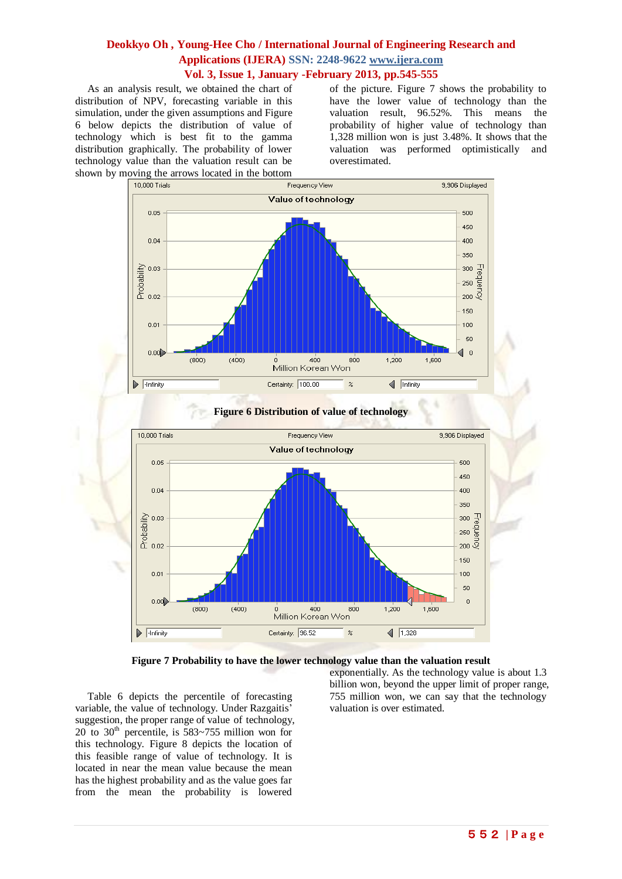As an analysis result, we obtained the chart of distribution of NPV, forecasting variable in this simulation, under the given assumptions and Figure 6 below depicts the distribution of value of technology which is best fit to the gamma distribution graphically. The probability of lower technology value than the valuation result can be shown by moving the arrows located in the bottom

of the picture. Figure 7 shows the probability to have the lower value of technology than the valuation result, 96.52%. This means the probability of higher value of technology than 1,328 million won is just 3.48%. It shows that the valuation was performed optimistically and overestimated.





### **Figure 6 Distribution of value of technology**



exponentially. As the technology value is about 1.3 billion won, beyond the upper limit of proper range, 755 million won, we can say that the technology valuation is over estimated.

Table 6 depicts the percentile of forecasting variable, the value of technology. Under Razgaitis' suggestion, the proper range of value of technology, 20 to  $30<sup>th</sup>$  percentile, is 583~755 million won for this technology. Figure 8 depicts the location of this feasible range of value of technology. It is located in near the mean value because the mean has the highest probability and as the value goes far from the mean the probability is lowered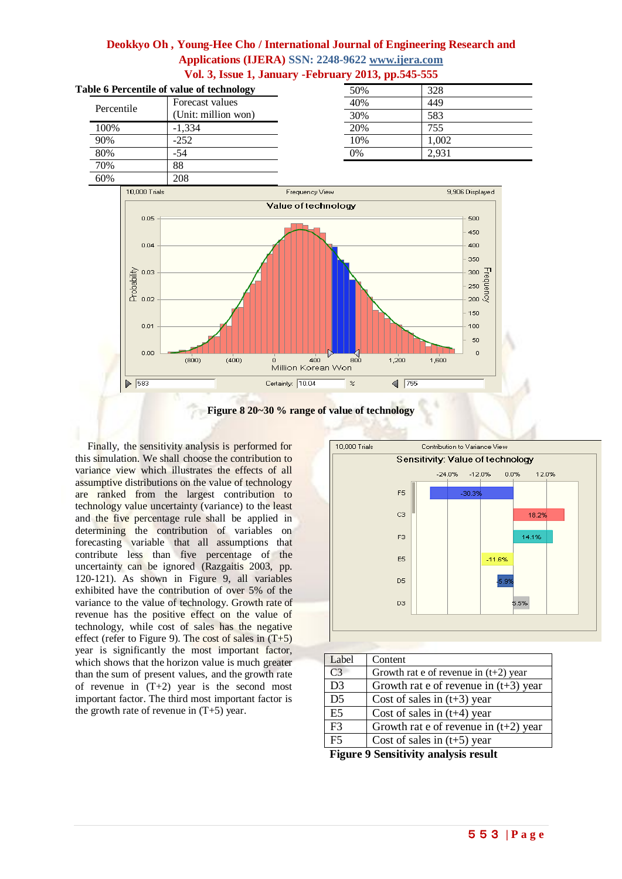





Finally, the sensitivity analysis is performed for this simulation. We shall choose the contribution to variance view which illustrates the effects of all assumptive distributions on the value of technology are ranked from the largest contribution to technology value uncertainty (variance) to the least and the five percentage rule shall be applied in determining the contribution of variables on forecasting variable that all assumptions that contribute less than five percentage of the uncertainty can be ignored (Razgaitis 2003, pp. 120-121). As shown in Figure 9, all variables exhibited have the contribution of over 5% of the variance to the value of technology. Growth rate of revenue has the positive effect on the value of technology, while cost of sales has the negative effect (refer to Figure 9). The cost of sales in  $(T+5)$ year is significantly the most important factor, which shows that the horizon value is much greater than the sum of present values, and the growth rate of revenue in (T+2) year is the second most important factor. The third most important factor is the growth rate of revenue in  $(T+5)$  year.



| Label           | Content                                 |
|-----------------|-----------------------------------------|
| C <sub>3</sub>  | Growth rat e of revenue in $(t+2)$ year |
| D <sub>3</sub>  | Growth rat e of revenue in $(t+3)$ year |
| $\overline{D5}$ | Cost of sales in $(t+3)$ year           |
| E5              | Cost of sales in $(t+4)$ year           |
| $\overline{F3}$ | Growth rat e of revenue in $(t+2)$ year |
| F <sub>5</sub>  | Cost of sales in $(t+5)$ year           |

**Figure 9 Sensitivity analysis result**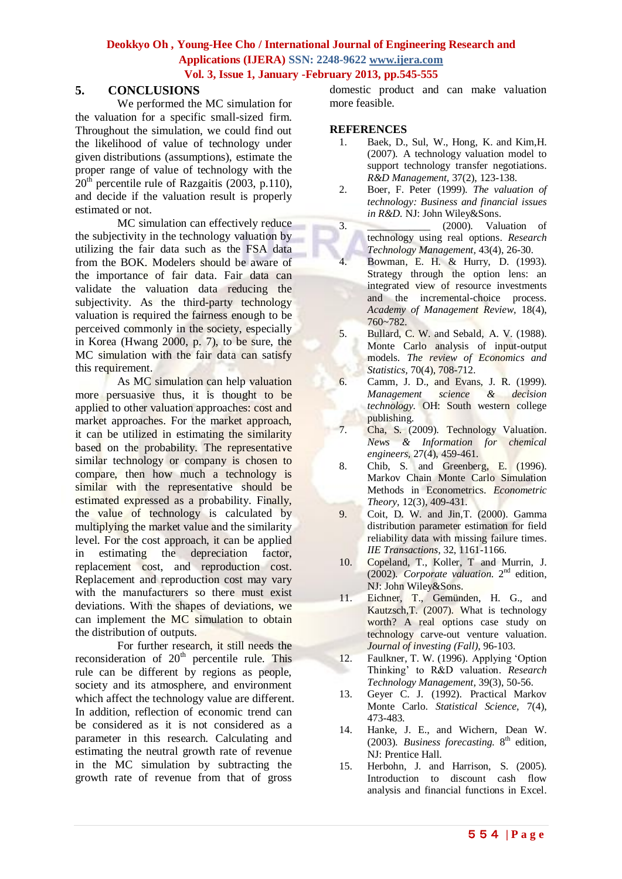# **5. CONCLUSIONS**

We performed the MC simulation for the valuation for a specific small-sized firm. Throughout the simulation, we could find out the likelihood of value of technology under given distributions (assumptions), estimate the proper range of value of technology with the  $20<sup>th</sup>$  percentile rule of Razgaitis (2003, p.110), and decide if the valuation result is properly estimated or not.

MC simulation can effectively reduce the subjectivity in the technology valuation by utilizing the fair data such as the FSA data from the BOK. Modelers should be aware of the importance of fair data. Fair data can validate the valuation data reducing the subjectivity. As the third-party technology valuation is required the fairness enough to be perceived commonly in the society, especially in Korea (Hwang 2000, p. 7), to be sure, the MC simulation with the fair data can satisfy this requirement.

As MC simulation can help valuation more persuasive thus, it is thought to be applied to other valuation approaches: cost and market approaches. For the market approach, it can be utilized in estimating the similarity based on the probability. The representative similar technology or company is chosen to compare, then how much a technology is similar with the representative should be estimated expressed as a probability. Finally, the value of technology is calculated by multiplying the market value and the similarity level. For the cost approach, it can be applied in estimating the depreciation factor, replacement cost, and reproduction cost. Replacement and reproduction cost may vary with the manufacturers so there must exist deviations. With the shapes of deviations, we can implement the MC simulation to obtain the distribution of outputs.

For further research, it still needs the reconsideration of  $20<sup>th</sup>$  percentile rule. This rule can be different by regions as people, society and its atmosphere, and environment which affect the technology value are different. In addition, reflection of economic trend can be considered as it is not considered as a parameter in this research. Calculating and estimating the neutral growth rate of revenue in the MC simulation by subtracting the growth rate of revenue from that of gross

domestic product and can make valuation more feasible.

## **REFERENCES**

- 1. Baek, D., Sul, W., Hong, K. and Kim,H. (2007). A technology valuation model to support technology transfer negotiations. *R&D Management,* 37(2), 123-138.
- 2. Boer, F. Peter (1999). *The valuation of technology: Business and financial issues in R&D.* NJ: John Wiley&Sons.
- 3.  $(2000)$ . Valuation of technology using real options. *Research Technology Management,* 43(4), 26-30.
- 4. Bowman, E. H. & Hurry, D. (1993). Strategy through the option lens: an integrated view of resource investments and the incremental-choice process. *Academy of Management Review,* 18(4), 760~782.
- 5. Bullard, C. W. and Sebald, A. V. (1988). Monte Carlo analysis of input-output models. *The review of Economics and Statistics,* 70(4), 708-712.
- 6. Camm, J. D., and Evans, J. R. (1999). *Management science & decision technology.* OH: South western college publishing.
- 7. Cha, S. (2009). Technology Valuation. *News & Information for chemical engineers,* 27(4), 459-461.
- 8. Chib, S. and Greenberg, E. (1996). Markov Chain Monte Carlo Simulation Methods in Econometrics. *Econometric Theory,* 12(3), 409-431.
- 9. Coit, D. W. and Jin,T. (2000). Gamma distribution parameter estimation for field reliability data with missing failure times. *IIE Transactions,* 32, 1161-1166.
- 10. Copeland, T., Koller, T and Murrin, J. (2002). Corporate valuation. 2<sup>nd</sup> edition, NJ: John Wiley&Sons.
- 11. Eichner, T., Gemünden, H. G., and Kautzsch,T. (2007). What is technology worth? A real options case study on technology carve-out venture valuation. *Journal of investing (Fall)*, 96-103.
- 12. Faulkner, T. W. (1996). Applying 'Option Thinking' to R&D valuation. *Research Technology Management,* 39(3), 50-56.
- 13. Geyer C. J. (1992). Practical Markov Monte Carlo. *Statistical Science,* 7(4), 473-483.
- 14. Hanke, J. E., and Wichern, Dean W. (2003). *Business forecasting*. 8<sup>th</sup> edition, NJ: Prentice Hall.
- 15. Herbohn, J. and Harrison, S. (2005). Introduction to discount cash flow analysis and financial functions in Excel.